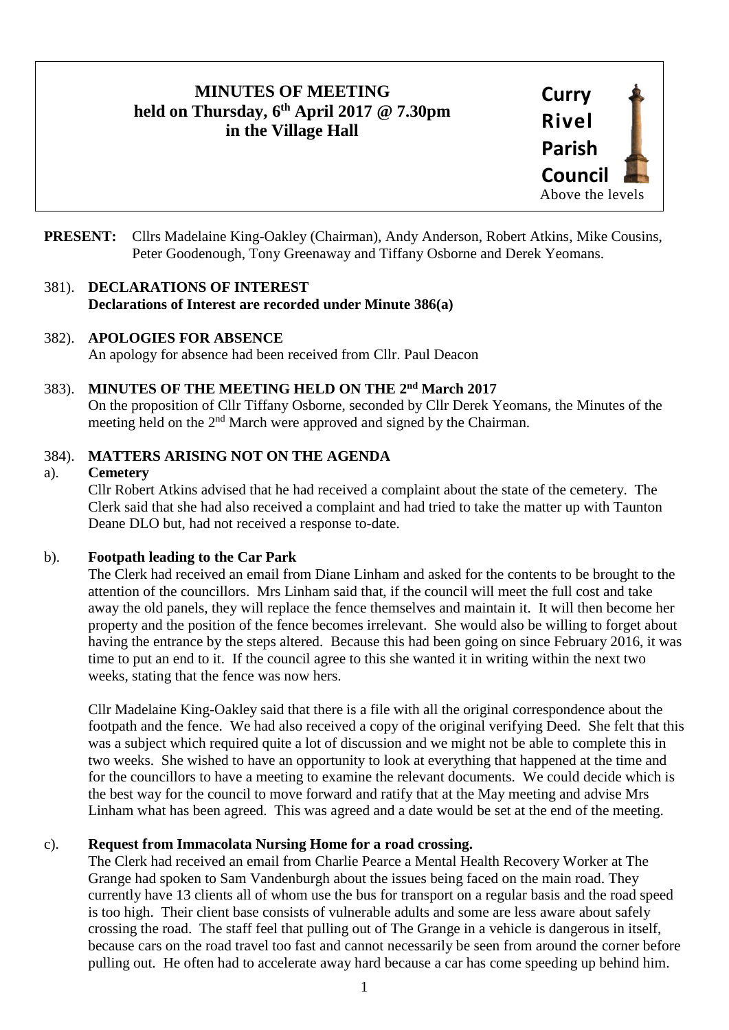# **MINUTES OF MEETING held on Thursday, 6 th April 2017 @ 7.30pm in the Village Hall**



**PRESENT:** Cllrs Madelaine King-Oakley (Chairman), Andy Anderson, Robert Atkins, Mike Cousins, Peter Goodenough, Tony Greenaway and Tiffany Osborne and Derek Yeomans.

### 381). **DECLARATIONS OF INTEREST Declarations of Interest are recorded under Minute 386(a)**

## 382). **APOLOGIES FOR ABSENCE**

An apology for absence had been received from Cllr. Paul Deacon

## 383). MINUTES OF THE MEETING HELD ON THE 2<sup>nd</sup> March 2017

On the proposition of Cllr Tiffany Osborne, seconded by Cllr Derek Yeomans, the Minutes of the meeting held on the 2<sup>nd</sup> March were approved and signed by the Chairman.

## 384). **MATTERS ARISING NOT ON THE AGENDA**

## a). **Cemetery**

Cllr Robert Atkins advised that he had received a complaint about the state of the cemetery. The Clerk said that she had also received a complaint and had tried to take the matter up with Taunton Deane DLO but, had not received a response to-date.

## b). **Footpath leading to the Car Park**

The Clerk had received an email from Diane Linham and asked for the contents to be brought to the attention of the councillors. Mrs Linham said that, if the council will meet the full cost and take away the old panels, they will replace the fence themselves and maintain it. It will then become her property and the position of the fence becomes irrelevant. She would also be willing to forget about having the entrance by the steps altered. Because this had been going on since February 2016, it was time to put an end to it. If the council agree to this she wanted it in writing within the next two weeks, stating that the fence was now hers.

Cllr Madelaine King-Oakley said that there is a file with all the original correspondence about the footpath and the fence. We had also received a copy of the original verifying Deed. She felt that this was a subject which required quite a lot of discussion and we might not be able to complete this in two weeks. She wished to have an opportunity to look at everything that happened at the time and for the councillors to have a meeting to examine the relevant documents. We could decide which is the best way for the council to move forward and ratify that at the May meeting and advise Mrs Linham what has been agreed. This was agreed and a date would be set at the end of the meeting.

## c). **Request from Immacolata Nursing Home for a road crossing.**

The Clerk had received an email from Charlie Pearce a Mental Health Recovery Worker at The Grange had spoken to Sam Vandenburgh about the issues being faced on the main road. They currently have 13 clients all of whom use the bus for transport on a regular basis and the road speed is too high. Their client base consists of vulnerable adults and some are less aware about safely crossing the road. The staff feel that pulling out of The Grange in a vehicle is dangerous in itself, because cars on the road travel too fast and cannot necessarily be seen from around the corner before pulling out. He often had to accelerate away hard because a car has come speeding up behind him.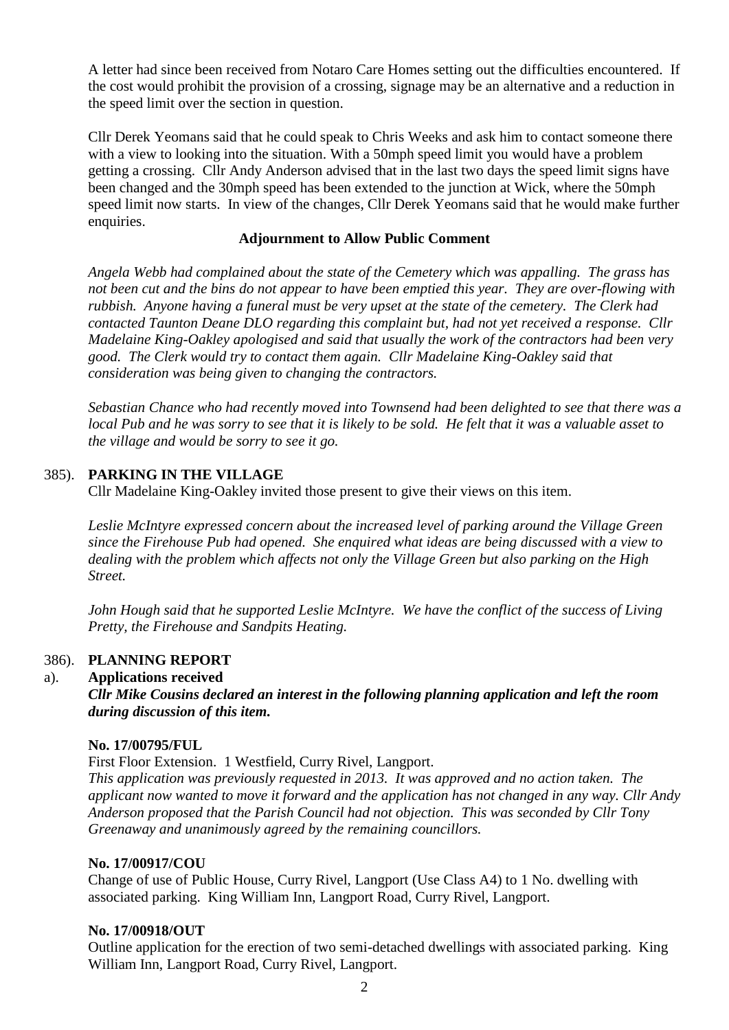A letter had since been received from Notaro Care Homes setting out the difficulties encountered. If the cost would prohibit the provision of a crossing, signage may be an alternative and a reduction in the speed limit over the section in question.

Cllr Derek Yeomans said that he could speak to Chris Weeks and ask him to contact someone there with a view to looking into the situation. With a 50mph speed limit you would have a problem getting a crossing. Cllr Andy Anderson advised that in the last two days the speed limit signs have been changed and the 30mph speed has been extended to the junction at Wick, where the 50mph speed limit now starts. In view of the changes, Cllr Derek Yeomans said that he would make further enquiries.

#### **Adjournment to Allow Public Comment**

*Angela Webb had complained about the state of the Cemetery which was appalling. The grass has not been cut and the bins do not appear to have been emptied this year. They are over-flowing with rubbish. Anyone having a funeral must be very upset at the state of the cemetery. The Clerk had contacted Taunton Deane DLO regarding this complaint but, had not yet received a response. Cllr Madelaine King-Oakley apologised and said that usually the work of the contractors had been very good. The Clerk would try to contact them again. Cllr Madelaine King-Oakley said that consideration was being given to changing the contractors.* 

*Sebastian Chance who had recently moved into Townsend had been delighted to see that there was a local Pub and he was sorry to see that it is likely to be sold. He felt that it was a valuable asset to the village and would be sorry to see it go.* 

#### 385). **PARKING IN THE VILLAGE**

Cllr Madelaine King-Oakley invited those present to give their views on this item.

*Leslie McIntyre expressed concern about the increased level of parking around the Village Green since the Firehouse Pub had opened. She enquired what ideas are being discussed with a view to dealing with the problem which affects not only the Village Green but also parking on the High Street.* 

*John Hough said that he supported Leslie McIntyre. We have the conflict of the success of Living Pretty, the Firehouse and Sandpits Heating.* 

#### 386). **PLANNING REPORT**

#### a). **Applications received**

*Cllr Mike Cousins declared an interest in the following planning application and left the room during discussion of this item.*

#### **No. 17/00795/FUL**

First Floor Extension. 1 Westfield, Curry Rivel, Langport.

*This application was previously requested in 2013. It was approved and no action taken. The applicant now wanted to move it forward and the application has not changed in any way. Cllr Andy Anderson proposed that the Parish Council had not objection. This was seconded by Cllr Tony Greenaway and unanimously agreed by the remaining councillors.* 

#### **No. 17/00917/COU**

Change of use of Public House, Curry Rivel, Langport (Use Class A4) to 1 No. dwelling with associated parking. King William Inn, Langport Road, Curry Rivel, Langport.

#### **No. 17/00918/OUT**

Outline application for the erection of two semi-detached dwellings with associated parking. King William Inn, Langport Road, Curry Rivel, Langport.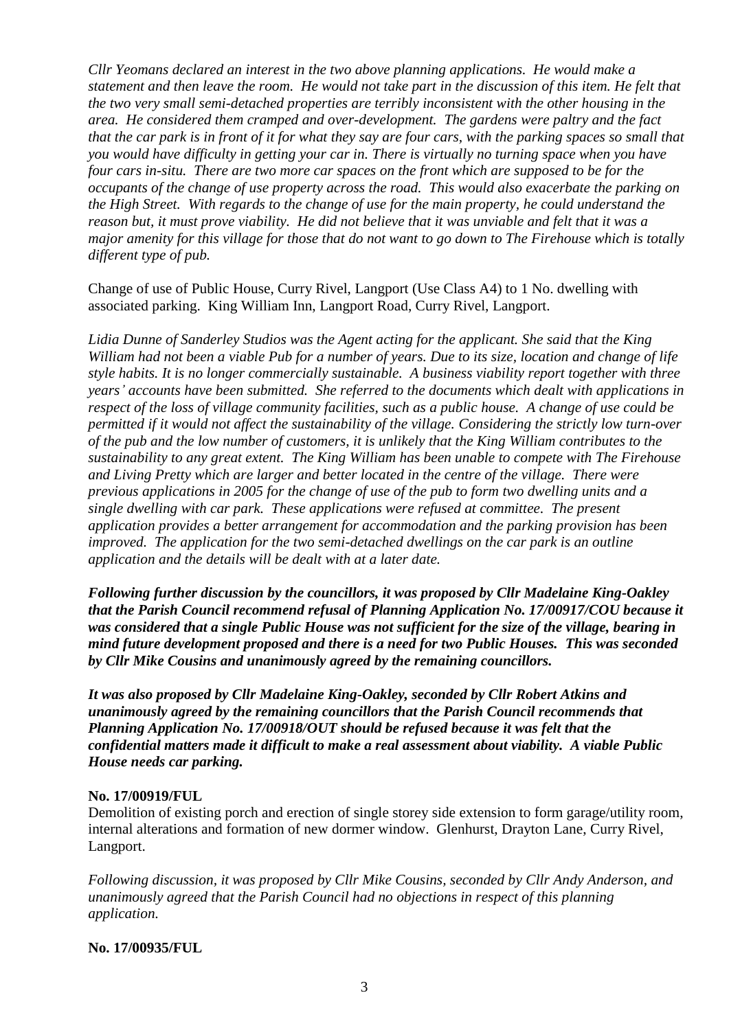*Cllr Yeomans declared an interest in the two above planning applications. He would make a statement and then leave the room. He would not take part in the discussion of this item. He felt that the two very small semi-detached properties are terribly inconsistent with the other housing in the area. He considered them cramped and over-development. The gardens were paltry and the fact that the car park is in front of it for what they say are four cars, with the parking spaces so small that you would have difficulty in getting your car in. There is virtually no turning space when you have four cars in-situ. There are two more car spaces on the front which are supposed to be for the occupants of the change of use property across the road. This would also exacerbate the parking on the High Street. With regards to the change of use for the main property, he could understand the reason but, it must prove viability. He did not believe that it was unviable and felt that it was a major amenity for this village for those that do not want to go down to The Firehouse which is totally different type of pub.* 

Change of use of Public House, Curry Rivel, Langport (Use Class A4) to 1 No. dwelling with associated parking. King William Inn, Langport Road, Curry Rivel, Langport.

*Lidia Dunne of Sanderley Studios was the Agent acting for the applicant. She said that the King William had not been a viable Pub for a number of years. Due to its size, location and change of life style habits. It is no longer commercially sustainable. A business viability report together with three years' accounts have been submitted. She referred to the documents which dealt with applications in respect of the loss of village community facilities, such as a public house. A change of use could be permitted if it would not affect the sustainability of the village. Considering the strictly low turn-over of the pub and the low number of customers, it is unlikely that the King William contributes to the sustainability to any great extent. The King William has been unable to compete with The Firehouse and Living Pretty which are larger and better located in the centre of the village. There were previous applications in 2005 for the change of use of the pub to form two dwelling units and a single dwelling with car park. These applications were refused at committee. The present application provides a better arrangement for accommodation and the parking provision has been improved. The application for the two semi-detached dwellings on the car park is an outline application and the details will be dealt with at a later date.*

*Following further discussion by the councillors, it was proposed by Cllr Madelaine King-Oakley that the Parish Council recommend refusal of Planning Application No. 17/00917/COU because it was considered that a single Public House was not sufficient for the size of the village, bearing in mind future development proposed and there is a need for two Public Houses. This was seconded by Cllr Mike Cousins and unanimously agreed by the remaining councillors.* 

*It was also proposed by Cllr Madelaine King-Oakley, seconded by Cllr Robert Atkins and unanimously agreed by the remaining councillors that the Parish Council recommends that Planning Application No. 17/00918/OUT should be refused because it was felt that the confidential matters made it difficult to make a real assessment about viability. A viable Public House needs car parking.* 

## **No. 17/00919/FUL**

Demolition of existing porch and erection of single storey side extension to form garage/utility room, internal alterations and formation of new dormer window. Glenhurst, Drayton Lane, Curry Rivel, Langport.

*Following discussion, it was proposed by Cllr Mike Cousins, seconded by Cllr Andy Anderson, and unanimously agreed that the Parish Council had no objections in respect of this planning application.* 

## **No. 17/00935/FUL**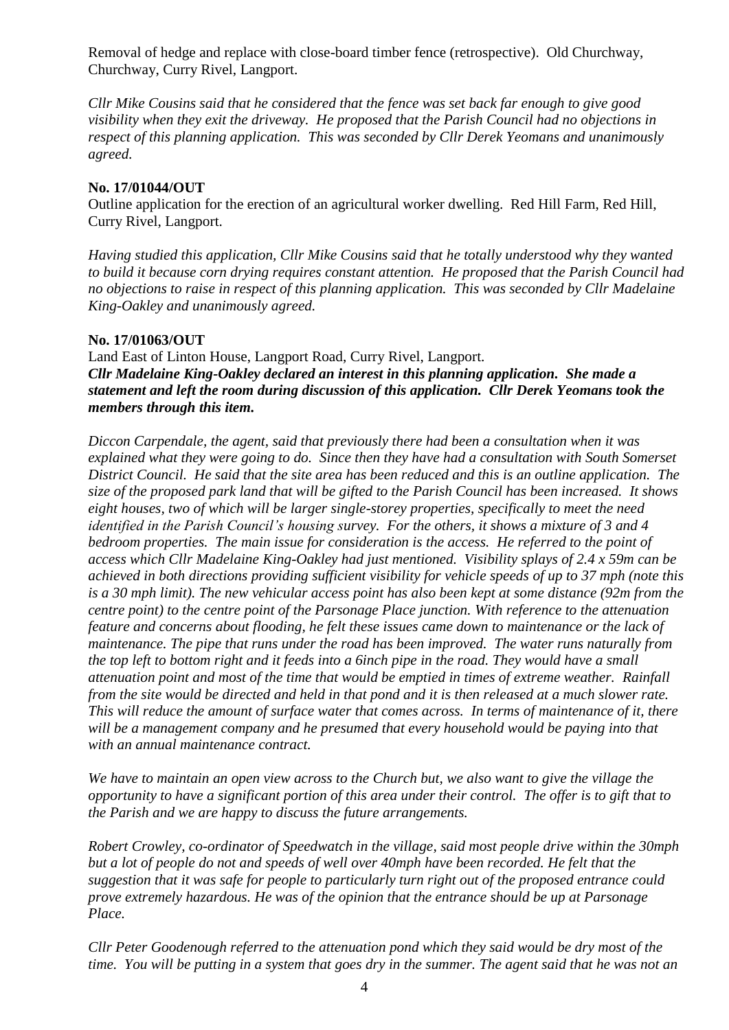Removal of hedge and replace with close-board timber fence (retrospective). Old Churchway, Churchway, Curry Rivel, Langport.

*Cllr Mike Cousins said that he considered that the fence was set back far enough to give good visibility when they exit the driveway. He proposed that the Parish Council had no objections in respect of this planning application. This was seconded by Cllr Derek Yeomans and unanimously agreed.*

### **No. 17/01044/OUT**

Outline application for the erection of an agricultural worker dwelling. Red Hill Farm, Red Hill, Curry Rivel, Langport.

*Having studied this application, Cllr Mike Cousins said that he totally understood why they wanted to build it because corn drying requires constant attention. He proposed that the Parish Council had no objections to raise in respect of this planning application. This was seconded by Cllr Madelaine King-Oakley and unanimously agreed.*

#### **No. 17/01063/OUT**

Land East of Linton House, Langport Road, Curry Rivel, Langport. *Cllr Madelaine King-Oakley declared an interest in this planning application. She made a statement and left the room during discussion of this application. Cllr Derek Yeomans took the members through this item.* 

*Diccon Carpendale, the agent, said that previously there had been a consultation when it was explained what they were going to do. Since then they have had a consultation with South Somerset District Council. He said that the site area has been reduced and this is an outline application. The size of the proposed park land that will be gifted to the Parish Council has been increased. It shows eight houses, two of which will be larger single-storey properties, specifically to meet the need identified in the Parish Council's housing survey. For the others, it shows a mixture of 3 and 4 bedroom properties. The main issue for consideration is the access. He referred to the point of access which Cllr Madelaine King-Oakley had just mentioned. Visibility splays of 2.4 x 59m can be achieved in both directions providing sufficient visibility for vehicle speeds of up to 37 mph (note this is a 30 mph limit). The new vehicular access point has also been kept at some distance (92m from the centre point) to the centre point of the Parsonage Place junction. With reference to the attenuation feature and concerns about flooding, he felt these issues came down to maintenance or the lack of maintenance. The pipe that runs under the road has been improved. The water runs naturally from the top left to bottom right and it feeds into a 6inch pipe in the road. They would have a small attenuation point and most of the time that would be emptied in times of extreme weather. Rainfall from the site would be directed and held in that pond and it is then released at a much slower rate. This will reduce the amount of surface water that comes across. In terms of maintenance of it, there*  will be a management company and he presumed that every household would be paying into that *with an annual maintenance contract.* 

*We have to maintain an open view across to the Church but, we also want to give the village the opportunity to have a significant portion of this area under their control. The offer is to gift that to the Parish and we are happy to discuss the future arrangements.*

*Robert Crowley, co-ordinator of Speedwatch in the village, said most people drive within the 30mph but a lot of people do not and speeds of well over 40mph have been recorded. He felt that the suggestion that it was safe for people to particularly turn right out of the proposed entrance could prove extremely hazardous. He was of the opinion that the entrance should be up at Parsonage Place.* 

*Cllr Peter Goodenough referred to the attenuation pond which they said would be dry most of the time. You will be putting in a system that goes dry in the summer. The agent said that he was not an*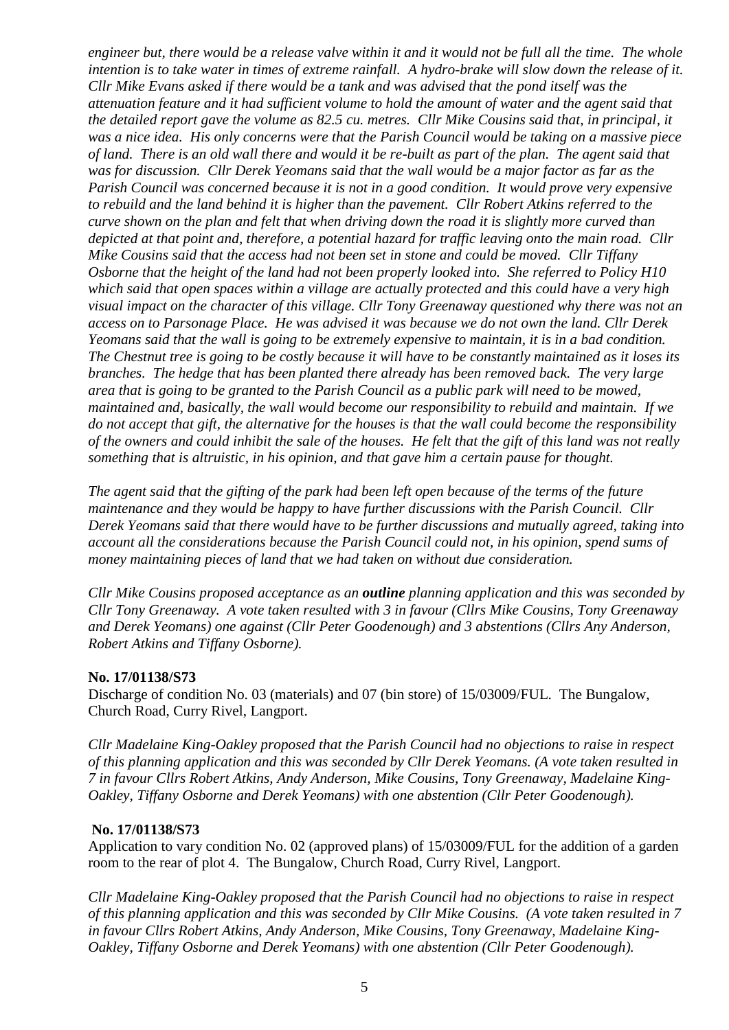*engineer but, there would be a release valve within it and it would not be full all the time. The whole intention is to take water in times of extreme rainfall. A hydro-brake will slow down the release of it. Cllr Mike Evans asked if there would be a tank and was advised that the pond itself was the attenuation feature and it had sufficient volume to hold the amount of water and the agent said that the detailed report gave the volume as 82.5 cu. metres. Cllr Mike Cousins said that, in principal, it was a nice idea. His only concerns were that the Parish Council would be taking on a massive piece of land. There is an old wall there and would it be re-built as part of the plan. The agent said that was for discussion. Cllr Derek Yeomans said that the wall would be a major factor as far as the Parish Council was concerned because it is not in a good condition. It would prove very expensive to rebuild and the land behind it is higher than the pavement. Cllr Robert Atkins referred to the curve shown on the plan and felt that when driving down the road it is slightly more curved than depicted at that point and, therefore, a potential hazard for traffic leaving onto the main road. Cllr Mike Cousins said that the access had not been set in stone and could be moved. Cllr Tiffany Osborne that the height of the land had not been properly looked into. She referred to Policy H10 which said that open spaces within a village are actually protected and this could have a very high visual impact on the character of this village. Cllr Tony Greenaway questioned why there was not an access on to Parsonage Place. He was advised it was because we do not own the land. Cllr Derek Yeomans said that the wall is going to be extremely expensive to maintain, it is in a bad condition. The Chestnut tree is going to be costly because it will have to be constantly maintained as it loses its branches. The hedge that has been planted there already has been removed back. The very large area that is going to be granted to the Parish Council as a public park will need to be mowed, maintained and, basically, the wall would become our responsibility to rebuild and maintain. If we do not accept that gift, the alternative for the houses is that the wall could become the responsibility of the owners and could inhibit the sale of the houses. He felt that the gift of this land was not really something that is altruistic, in his opinion, and that gave him a certain pause for thought.* 

*The agent said that the gifting of the park had been left open because of the terms of the future maintenance and they would be happy to have further discussions with the Parish Council. Cllr Derek Yeomans said that there would have to be further discussions and mutually agreed, taking into account all the considerations because the Parish Council could not, in his opinion, spend sums of money maintaining pieces of land that we had taken on without due consideration.* 

*Cllr Mike Cousins proposed acceptance as an outline planning application and this was seconded by Cllr Tony Greenaway. A vote taken resulted with 3 in favour (Cllrs Mike Cousins, Tony Greenaway and Derek Yeomans) one against (Cllr Peter Goodenough) and 3 abstentions (Cllrs Any Anderson, Robert Atkins and Tiffany Osborne).* 

#### **No. 17/01138/S73**

Discharge of condition No. 03 (materials) and 07 (bin store) of 15/03009/FUL. The Bungalow, Church Road, Curry Rivel, Langport.

*Cllr Madelaine King-Oakley proposed that the Parish Council had no objections to raise in respect of this planning application and this was seconded by Cllr Derek Yeomans. (A vote taken resulted in 7 in favour Cllrs Robert Atkins, Andy Anderson, Mike Cousins, Tony Greenaway, Madelaine King-Oakley, Tiffany Osborne and Derek Yeomans) with one abstention (Cllr Peter Goodenough).*

#### **No. 17/01138/S73**

Application to vary condition No. 02 (approved plans) of 15/03009/FUL for the addition of a garden room to the rear of plot 4. The Bungalow, Church Road, Curry Rivel, Langport.

*Cllr Madelaine King-Oakley proposed that the Parish Council had no objections to raise in respect of this planning application and this was seconded by Cllr Mike Cousins. (A vote taken resulted in 7 in favour Cllrs Robert Atkins, Andy Anderson, Mike Cousins, Tony Greenaway, Madelaine King-Oakley, Tiffany Osborne and Derek Yeomans) with one abstention (Cllr Peter Goodenough).*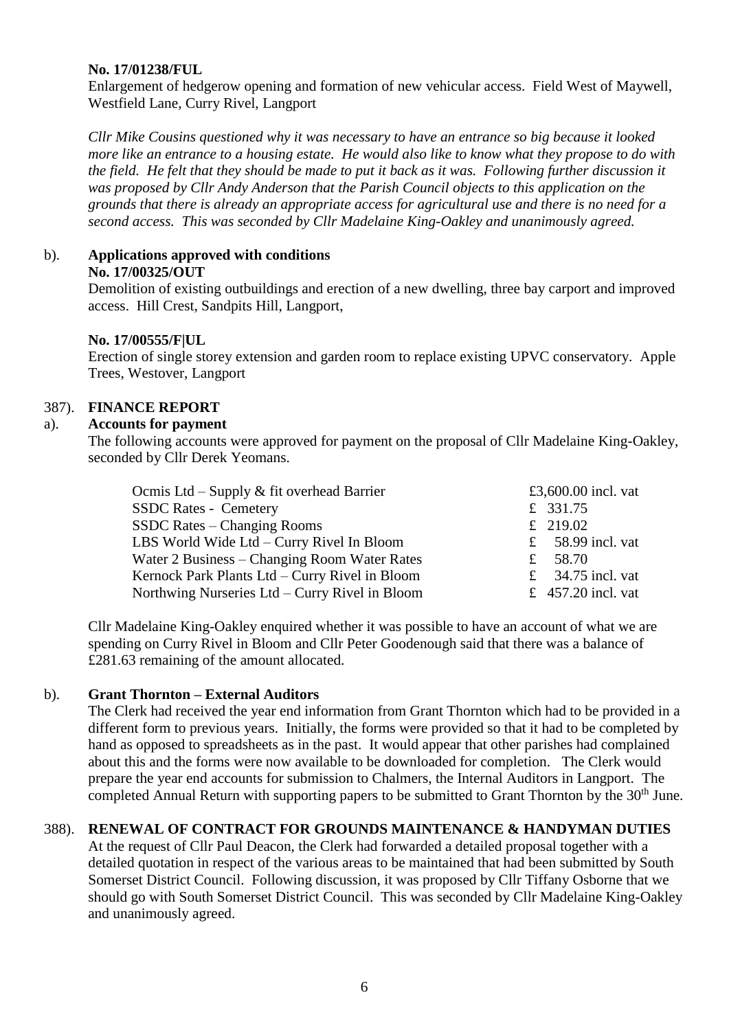#### **No. 17/01238/FUL**

Enlargement of hedgerow opening and formation of new vehicular access. Field West of Maywell, Westfield Lane, Curry Rivel, Langport

*Cllr Mike Cousins questioned why it was necessary to have an entrance so big because it looked more like an entrance to a housing estate. He would also like to know what they propose to do with the field. He felt that they should be made to put it back as it was. Following further discussion it was proposed by Cllr Andy Anderson that the Parish Council objects to this application on the grounds that there is already an appropriate access for agricultural use and there is no need for a second access. This was seconded by Cllr Madelaine King-Oakley and unanimously agreed.*

## b). **Applications approved with conditions**

#### **No. 17/00325/OUT**

Demolition of existing outbuildings and erection of a new dwelling, three bay carport and improved access. Hill Crest, Sandpits Hill, Langport,

## **No. 17/00555/F|UL**

Erection of single storey extension and garden room to replace existing UPVC conservatory. Apple Trees, Westover, Langport

## 387). **FINANCE REPORT**

## a). **Accounts for payment**

The following accounts were approved for payment on the proposal of Cllr Madelaine King-Oakley, seconded by Cllr Derek Yeomans.

| Ocmis Ltd – Supply $\&$ fit overhead Barrier   | £3,600.00 incl. vat |
|------------------------------------------------|---------------------|
| <b>SSDC Rates - Cemetery</b>                   | £ 331.75            |
| SSDC Rates – Changing Rooms                    | £ 219.02            |
| LBS World Wide Ltd – Curry Rivel In Bloom      | £ 58.99 incl. vat   |
| Water 2 Business – Changing Room Water Rates   | £ 58.70             |
| Kernock Park Plants Ltd - Curry Rivel in Bloom | £ 34.75 incl. vat   |
| Northwing Nurseries Ltd – Curry Rivel in Bloom | £ 457.20 incl. vat  |

Cllr Madelaine King-Oakley enquired whether it was possible to have an account of what we are spending on Curry Rivel in Bloom and Cllr Peter Goodenough said that there was a balance of £281.63 remaining of the amount allocated.

## b). **Grant Thornton – External Auditors**

The Clerk had received the year end information from Grant Thornton which had to be provided in a different form to previous years. Initially, the forms were provided so that it had to be completed by hand as opposed to spreadsheets as in the past. It would appear that other parishes had complained about this and the forms were now available to be downloaded for completion. The Clerk would prepare the year end accounts for submission to Chalmers, the Internal Auditors in Langport. The completed Annual Return with supporting papers to be submitted to Grant Thornton by the 30<sup>th</sup> June.

## 388). **RENEWAL OF CONTRACT FOR GROUNDS MAINTENANCE & HANDYMAN DUTIES**

At the request of Cllr Paul Deacon, the Clerk had forwarded a detailed proposal together with a detailed quotation in respect of the various areas to be maintained that had been submitted by South Somerset District Council. Following discussion, it was proposed by Cllr Tiffany Osborne that we should go with South Somerset District Council. This was seconded by Cllr Madelaine King-Oakley and unanimously agreed.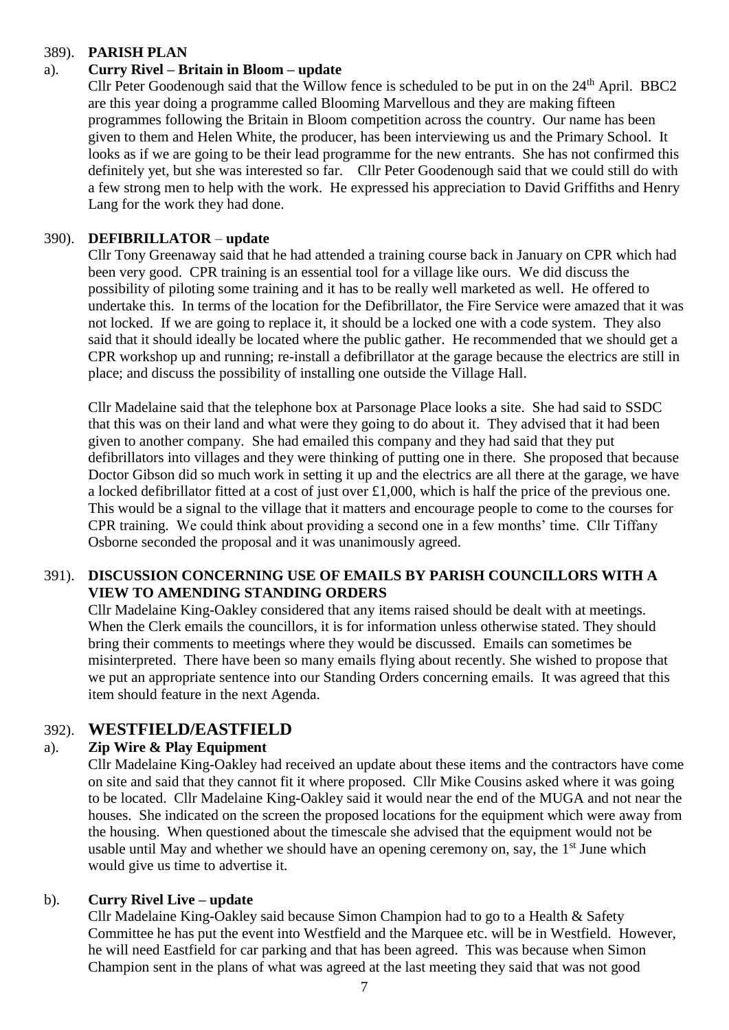#### 389). **PARISH PLAN**

## a). **Curry Rivel – Britain in Bloom – update**

Cllr Peter Goodenough said that the Willow fence is scheduled to be put in on the  $24<sup>th</sup>$  April. BBC2 are this year doing a programme called Blooming Marvellous and they are making fifteen programmes following the Britain in Bloom competition across the country. Our name has been given to them and Helen White, the producer, has been interviewing us and the Primary School. It looks as if we are going to be their lead programme for the new entrants. She has not confirmed this definitely yet, but she was interested so far. Cllr Peter Goodenough said that we could still do with a few strong men to help with the work. He expressed his appreciation to David Griffiths and Henry Lang for the work they had done.

## 390). **DEFIBRILLATOR** – **update**

Cllr Tony Greenaway said that he had attended a training course back in January on CPR which had been very good. CPR training is an essential tool for a village like ours. We did discuss the possibility of piloting some training and it has to be really well marketed as well. He offered to undertake this. In terms of the location for the Defibrillator, the Fire Service were amazed that it was not locked. If we are going to replace it, it should be a locked one with a code system. They also said that it should ideally be located where the public gather. He recommended that we should get a CPR workshop up and running; re-install a defibrillator at the garage because the electrics are still in place; and discuss the possibility of installing one outside the Village Hall.

Cllr Madelaine said that the telephone box at Parsonage Place looks a site. She had said to SSDC that this was on their land and what were they going to do about it. They advised that it had been given to another company. She had emailed this company and they had said that they put defibrillators into villages and they were thinking of putting one in there. She proposed that because Doctor Gibson did so much work in setting it up and the electrics are all there at the garage, we have a locked defibrillator fitted at a cost of just over £1,000, which is half the price of the previous one. This would be a signal to the village that it matters and encourage people to come to the courses for CPR training. We could think about providing a second one in a few months' time. Cllr Tiffany Osborne seconded the proposal and it was unanimously agreed.

## 391). **DISCUSSION CONCERNING USE OF EMAILS BY PARISH COUNCILLORS WITH A VIEW TO AMENDING STANDING ORDERS**

Cllr Madelaine King-Oakley considered that any items raised should be dealt with at meetings. When the Clerk emails the councillors, it is for information unless otherwise stated. They should bring their comments to meetings where they would be discussed. Emails can sometimes be misinterpreted. There have been so many emails flying about recently. She wished to propose that we put an appropriate sentence into our Standing Orders concerning emails. It was agreed that this item should feature in the next Agenda.

## 392). **WESTFIELD/EASTFIELD**

## a). **Zip Wire & Play Equipment**

Cllr Madelaine King-Oakley had received an update about these items and the contractors have come on site and said that they cannot fit it where proposed. Cllr Mike Cousins asked where it was going to be located. Cllr Madelaine King-Oakley said it would near the end of the MUGA and not near the houses. She indicated on the screen the proposed locations for the equipment which were away from the housing. When questioned about the timescale she advised that the equipment would not be usable until May and whether we should have an opening ceremony on, say, the 1<sup>st</sup> June which would give us time to advertise it.

## b). **Curry Rivel Live – update**

Cllr Madelaine King-Oakley said because Simon Champion had to go to a Health & Safety Committee he has put the event into Westfield and the Marquee etc. will be in Westfield. However, he will need Eastfield for car parking and that has been agreed. This was because when Simon Champion sent in the plans of what was agreed at the last meeting they said that was not good